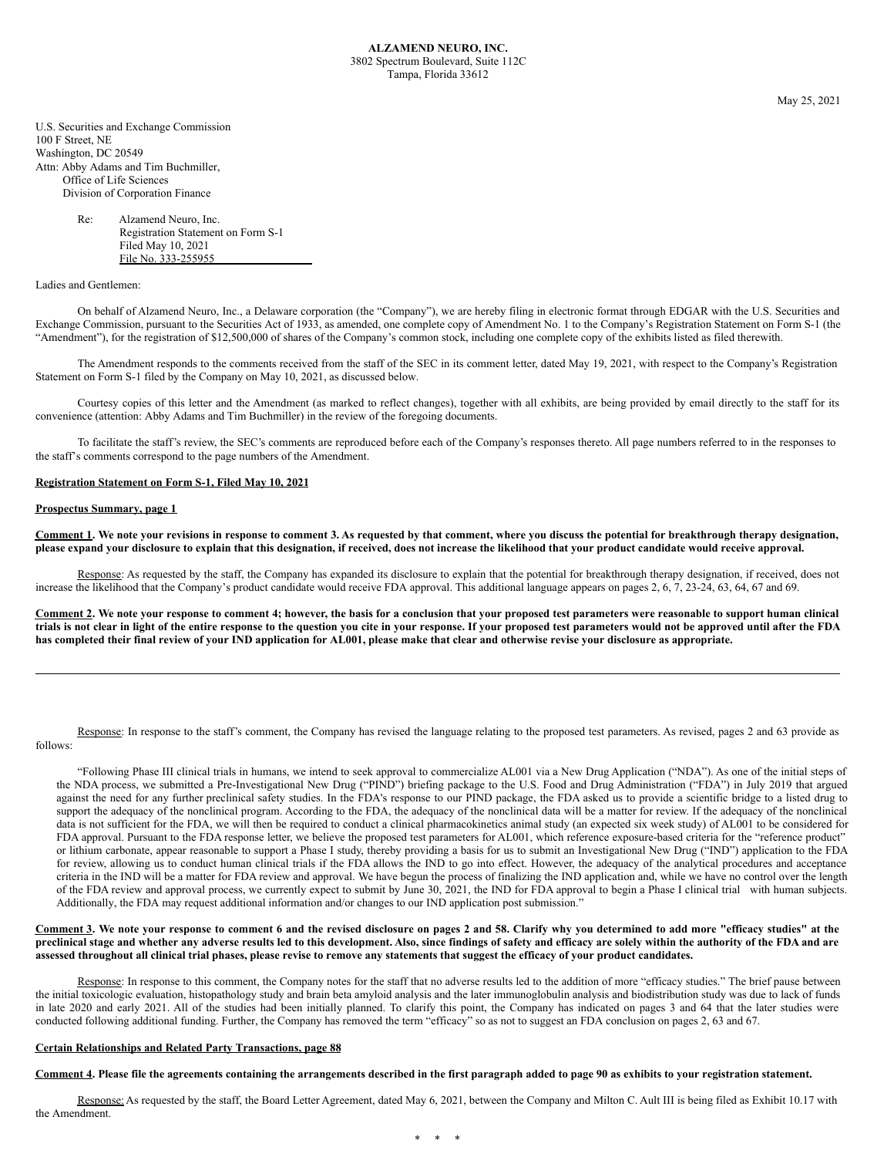May 25, 2021

U.S. Securities and Exchange Commission 100 F Street, NE Washington, DC 20549 Attn: Abby Adams and Tim Buchmiller, Office of Life Sciences Division of Corporation Finance

> Re: Alzamend Neuro, Inc. Registration Statement on Form S-1 Filed May 10, 2021 File No. 333-255955

Ladies and Gentlemen:

On behalf of Alzamend Neuro, Inc., a Delaware corporation (the "Company"), we are hereby filing in electronic format through EDGAR with the U.S. Securities and Exchange Commission, pursuant to the Securities Act of 1933, as amended, one complete copy of Amendment No. 1 to the Company's Registration Statement on Form S-1 (the "Amendment"), for the registration of \$12,500,000 of shares of the Company's common stock, including one complete copy of the exhibits listed as filed therewith.

The Amendment responds to the comments received from the staff of the SEC in its comment letter, dated May 19, 2021, with respect to the Company's Registration Statement on Form S-1 filed by the Company on May 10, 2021, as discussed below.

Courtesy copies of this letter and the Amendment (as marked to reflect changes), together with all exhibits, are being provided by email directly to the staff for its convenience (attention: Abby Adams and Tim Buchmiller) in the review of the foregoing documents.

To facilitate the staff's review, the SEC's comments are reproduced before each of the Company's responses thereto. All page numbers referred to in the responses to the staff's comments correspond to the page numbers of the Amendment.

## **Registration Statement on Form S-1, Filed May 10, 2021**

## **Prospectus Summary, page 1**

Comment 1. We note your revisions in response to comment 3. As requested by that comment, where you discuss the potential for breakthrough therapy designation, please expand your disclosure to explain that this designation, if received, does not increase the likelihood that your product candidate would receive approval.

Response: As requested by the staff, the Company has expanded its disclosure to explain that the potential for breakthrough therapy designation, if received, does not increase the likelihood that the Company's product candidate would receive FDA approval. This additional language appears on pages 2, 6, 7, 23-24, 63, 64, 67 and 69.

Comment 2. We note your response to comment 4; however, the basis for a conclusion that your proposed test parameters were reasonable to support human clinical trials is not clear in light of the entire response to the question you cite in your response. If your proposed test parameters would not be approved until after the FDA has completed their final review of your IND application for AL001, please make that clear and otherwise revise your disclosure as appropriate.

Response: In response to the staff's comment, the Company has revised the language relating to the proposed test parameters. As revised, pages 2 and 63 provide as follows:

"Following Phase III clinical trials in humans, we intend to seek approval to commercialize AL001 via a New Drug Application ("NDA"). As one of the initial steps of the NDA process, we submitted a Pre-Investigational New Drug ("PIND") briefing package to the U.S. Food and Drug Administration ("FDA") in July 2019 that argued against the need for any further preclinical safety studies. In the FDA's response to our PIND package, the FDA asked us to provide a scientific bridge to a listed drug to support the adequacy of the nonclinical program. According to the FDA, the adequacy of the nonclinical data will be a matter for review. If the adequacy of the nonclinical data is not sufficient for the FDA, we will then be required to conduct a clinical pharmacokinetics animal study (an expected six week study) of AL001 to be considered for FDA approval. Pursuant to the FDA response letter, we believe the proposed test parameters for AL001, which reference exposure-based criteria for the "reference product" or lithium carbonate, appear reasonable to support a Phase I study, thereby providing a basis for us to submit an Investigational New Drug ("IND") application to the FDA for review, allowing us to conduct human clinical trials if the FDA allows the IND to go into effect. However, the adequacy of the analytical procedures and acceptance criteria in the IND will be a matter for FDA review and approval. We have begun the process of finalizing the IND application and, while we have no control over the length of the FDA review and approval process, we currently expect to submit by June 30, 2021, the IND for FDA approval to begin a Phase I clinical trial with human subjects. Additionally, the FDA may request additional information and/or changes to our IND application post submission."

## Comment 3. We note your response to comment 6 and the revised disclosure on pages 2 and 58. Clarify why you determined to add more "efficacy studies" at the preclinical stage and whether any adverse results led to this development. Also, since findings of safety and efficacy are solely within the authority of the FDA and are assessed throughout all clinical trial phases, please revise to remove any statements that suggest the efficacy of your product candidates.

Response: In response to this comment, the Company notes for the staff that no adverse results led to the addition of more "efficacy studies." The brief pause between the initial toxicologic evaluation, histopathology study and brain beta amyloid analysis and the later immunoglobulin analysis and biodistribution study was due to lack of funds in late 2020 and early 2021. All of the studies had been initially planned. To clarify this point, the Company has indicated on pages 3 and 64 that the later studies were conducted following additional funding. Further, the Company has removed the term "efficacy" so as not to suggest an FDA conclusion on pages 2, 63 and 67.

## **Certain Relationships and Related Party Transactions, page 88**

Comment 4. Please file the agreements containing the arrangements described in the first paragraph added to page 90 as exhibits to your registration statement.

Response: As requested by the staff, the Board Letter Agreement, dated May 6, 2021, between the Company and Milton C. Ault III is being filed as Exhibit 10.17 with the Amendment.